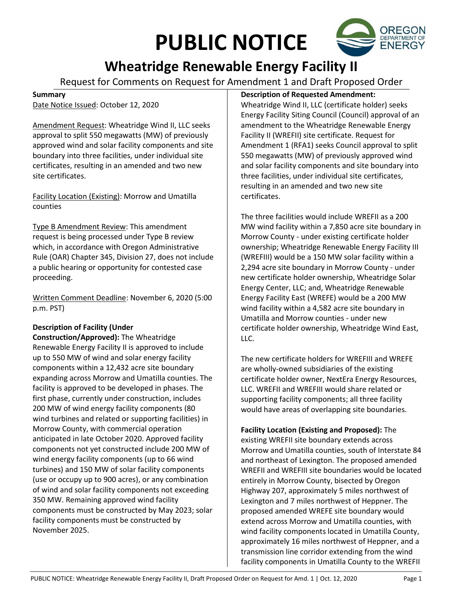# **PUBLIC NOTICE**



# **Wheatridge Renewable Energy Facility II**

Request for Comments on Request for Amendment 1 and Draft Proposed Order

#### **Summary**

Date Notice Issued: October 12, 2020

Amendment Request: Wheatridge Wind II, LLC seeks approval to split 550 megawatts (MW) of previously approved wind and solar facility components and site boundary into three facilities, under individual site certificates, resulting in an amended and two new site certificates.

Facility Location (Existing): Morrow and Umatilla counties

Type B Amendment Review: This amendment request is being processed under Type B review which, in accordance with Oregon Administrative Rule (OAR) Chapter 345, Division 27, does not include a public hearing or opportunity for contested case proceeding.

Written Comment Deadline: November 6, 2020 (5:00 p.m. PST)

### **Description of Facility (Under**

**Construction/Approved):** The Wheatridge Renewable Energy Facility II is approved to include up to 550 MW of wind and solar energy facility components within a 12,432 acre site boundary expanding across Morrow and Umatilla counties. The facility is approved to be developed in phases. The first phase, currently under construction, includes 200 MW of wind energy facility components (80 wind turbines and related or supporting facilities) in Morrow County, with commercial operation anticipated in late October 2020. Approved facility components not yet constructed include 200 MW of wind energy facility components (up to 66 wind turbines) and 150 MW of solar facility components (use or occupy up to 900 acres), or any combination of wind and solar facility components not exceeding 350 MW. Remaining approved wind facility components must be constructed by May 2023; solar facility components must be constructed by November 2025.

## **Description of Requested Amendment:**

Wheatridge Wind II, LLC (certificate holder) seeks Energy Facility Siting Council (Council) approval of an amendment to the Wheatridge Renewable Energy Facility II (WREFII) site certificate. Request for Amendment 1 (RFA1) seeks Council approval to split 550 megawatts (MW) of previously approved wind and solar facility components and site boundary into three facilities, under individual site certificates, resulting in an amended and two new site certificates.

The three facilities would include WREFII as a 200 MW wind facility within a 7,850 acre site boundary in Morrow County - under existing certificate holder ownership; Wheatridge Renewable Energy Facility III (WREFIII) would be a 150 MW solar facility within a 2,294 acre site boundary in Morrow County - under new certificate holder ownership, Wheatridge Solar Energy Center, LLC; and, Wheatridge Renewable Energy Facility East (WREFE) would be a 200 MW wind facility within a 4,582 acre site boundary in Umatilla and Morrow counties - under new certificate holder ownership, Wheatridge Wind East, LLC.

The new certificate holders for WREFIII and WREFE are wholly-owned subsidiaries of the existing certificate holder owner, NextEra Energy Resources, LLC. WREFII and WREFIII would share related or supporting facility components; all three facility would have areas of overlapping site boundaries.

**Facility Location (Existing and Proposed):** The existing WREFII site boundary extends across Morrow and Umatilla counties, south of Interstate 84 and northeast of Lexington. The proposed amended WREFII and WREFIII site boundaries would be located entirely in Morrow County, bisected by Oregon Highway 207, approximately 5 miles northwest of Lexington and 7 miles northwest of Heppner. The proposed amended WREFE site boundary would extend across Morrow and Umatilla counties, with wind facility components located in Umatilla County, approximately 16 miles northwest of Heppner, and a transmission line corridor extending from the wind facility components in Umatilla County to the WREFII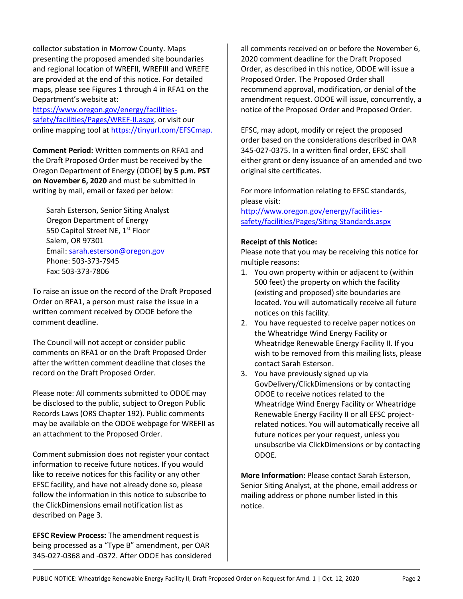collector substation in Morrow County. Maps presenting the proposed amended site boundaries and regional location of WREFII, WREFIII and WREFE are provided at the end of this notice. For detailed maps, please see Figures 1 through 4 in RFA1 on the Department's website at:

[https://www.oregon.gov/energy/facilities](https://www.oregon.gov/energy/facilities-safety/facilities/Pages/WREF-II.aspx)[safety/facilities/Pages/WREF-II.aspx,](https://www.oregon.gov/energy/facilities-safety/facilities/Pages/WREF-II.aspx) or visit our online mapping tool at [https://tinyurl.com/EFSCmap.](https://tinyurl.com/EFSCmap)

**Comment Period:** Written comments on RFA1 and the Draft Proposed Order must be received by the Oregon Department of Energy (ODOE) **by 5 p.m. PST on November 6, 2020** and must be submitted in writing by mail, email or faxed per below:

Sarah Esterson, Senior Siting Analyst Oregon Department of Energy 550 Capitol Street NE, 1<sup>st</sup> Floor Salem, OR 97301 Email: [sarah.esterson@oregon.gov](mailto:sarah.esterson@oregon.gov) Phone: 503-373-7945 Fax: 503-373-7806

To raise an issue on the record of the Draft Proposed Order on RFA1, a person must raise the issue in a written comment received by ODOE before the comment deadline.

The Council will not accept or consider public comments on RFA1 or on the Draft Proposed Order after the written comment deadline that closes the record on the Draft Proposed Order.

Please note: All comments submitted to ODOE may be disclosed to the public, subject to Oregon Public Records Laws (ORS Chapter 192). Public comments may be available on the ODOE webpage for WREFII as an attachment to the Proposed Order.

Comment submission does not register your contact information to receive future notices. If you would like to receive notices for this facility or any other EFSC facility, and have not already done so, please follow the information in this notice to subscribe to the ClickDimensions email notification list as described on Page 3.

**EFSC Review Process:** The amendment request is being processed as a "Type B" amendment, per OAR 345-027-0368 and -0372. After ODOE has considered all comments received on or before the November 6, 2020 comment deadline for the Draft Proposed Order, as described in this notice, ODOE will issue a Proposed Order. The Proposed Order shall recommend approval, modification, or denial of the amendment request. ODOE will issue, concurrently, a notice of the Proposed Order and Proposed Order.

EFSC, may adopt, modify or reject the proposed order based on the considerations described in OAR 345-027-0375. In a written final order, EFSC shall either grant or deny issuance of an amended and two original site certificates.

For more information relating to EFSC standards, please visit:

[http://www.oregon.gov/energy/facilities](http://www.oregon.gov/energy/facilities-safety/facilities/Pages/Siting-Standards.aspx)[safety/facilities/Pages/Siting-Standards.aspx](http://www.oregon.gov/energy/facilities-safety/facilities/Pages/Siting-Standards.aspx)

#### **Receipt of this Notice:**

Please note that you may be receiving this notice for multiple reasons:

- 1. You own property within or adjacent to (within 500 feet) the property on which the facility (existing and proposed) site boundaries are located. You will automatically receive all future notices on this facility.
- 2. You have requested to receive paper notices on the Wheatridge Wind Energy Facility or Wheatridge Renewable Energy Facility II. If you wish to be removed from this mailing lists, please contact Sarah Esterson.
- 3. You have previously signed up via GovDelivery/ClickDimensions or by contacting ODOE to receive notices related to the Wheatridge Wind Energy Facility or Wheatridge Renewable Energy Facility II or all EFSC projectrelated notices. You will automatically receive all future notices per your request, unless you unsubscribe via ClickDimensions or by contacting ODOE.

**More Information:** Please contact Sarah Esterson, Senior Siting Analyst, at the phone, email address or mailing address or phone number listed in this notice.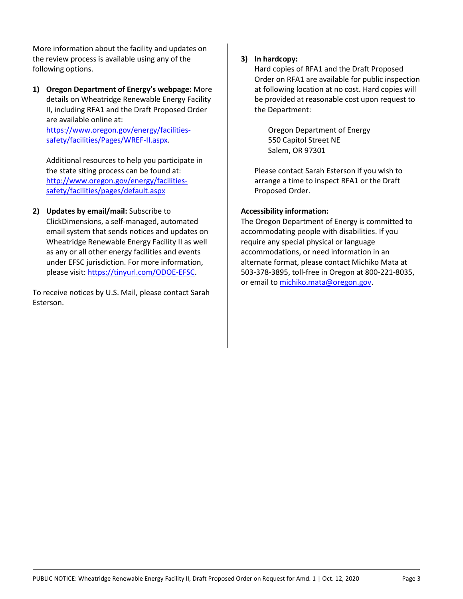More information about the facility and updates on the review process is available using any of the following options.

**1) Oregon Department of Energy's webpage:** More details on Wheatridge Renewable Energy Facility II, including RFA1 and the Draft Proposed Order are available online at:

[https://www.oregon.gov/energy/facilities](https://www.oregon.gov/energy/facilities-safety/facilities/Pages/WREF-II.aspx)[safety/facilities/Pages/WREF-II.aspx.](https://www.oregon.gov/energy/facilities-safety/facilities/Pages/WREF-II.aspx)

Additional resources to help you participate in the state siting process can be found at: [http://www.oregon.gov/energy/facilities](http://www.oregon.gov/energy/facilities-safety/facilities/pages/default.aspx)[safety/facilities/pages/default.aspx](http://www.oregon.gov/energy/facilities-safety/facilities/pages/default.aspx)

**2) Updates by email/mail:** Subscribe to ClickDimensions, a self-managed, automated email system that sends notices and updates on Wheatridge Renewable Energy Facility II as well as any or all other energy facilities and events under EFSC jurisdiction. For more information, please visit: [https://tinyurl.com/ODOE-EFSC.](https://tinyurl.com/ODOE-EFSC)

To receive notices by U.S. Mail, please contact Sarah Esterson.

#### **3) In hardcopy:**

Hard copies of RFA1 and the Draft Proposed Order on RFA1 are available for public inspection at following location at no cost. Hard copies will be provided at reasonable cost upon request to the Department:

Oregon Department of Energy 550 Capitol Street NE Salem, OR 97301

Please contact Sarah Esterson if you wish to arrange a time to inspect RFA1 or the Draft Proposed Order.

#### **Accessibility information:**

The Oregon Department of Energy is committed to accommodating people with disabilities. If you require any special physical or language accommodations, or need information in an alternate format, please contact Michiko Mata at 503-378-3895, toll-free in Oregon at 800-221-8035, or email to [michiko.mata@oregon.gov.](mailto:michiko.mata@oregon.gov)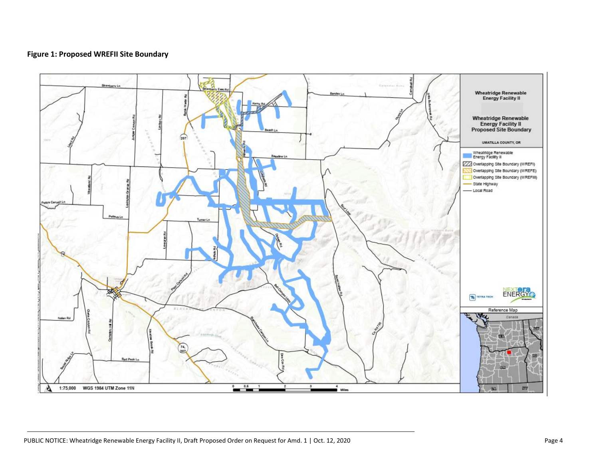#### **Figure 1: Proposed WREFII Site Boundary**

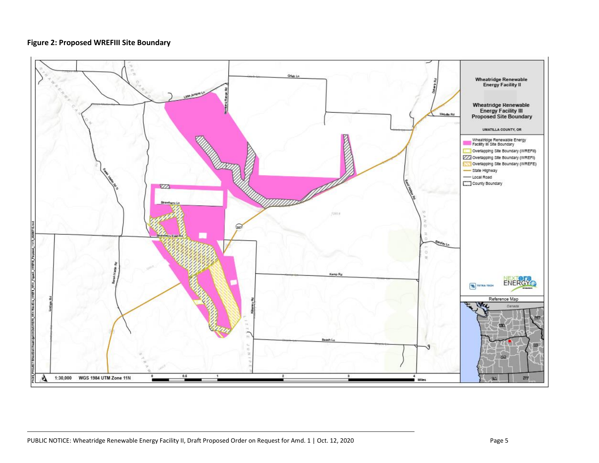